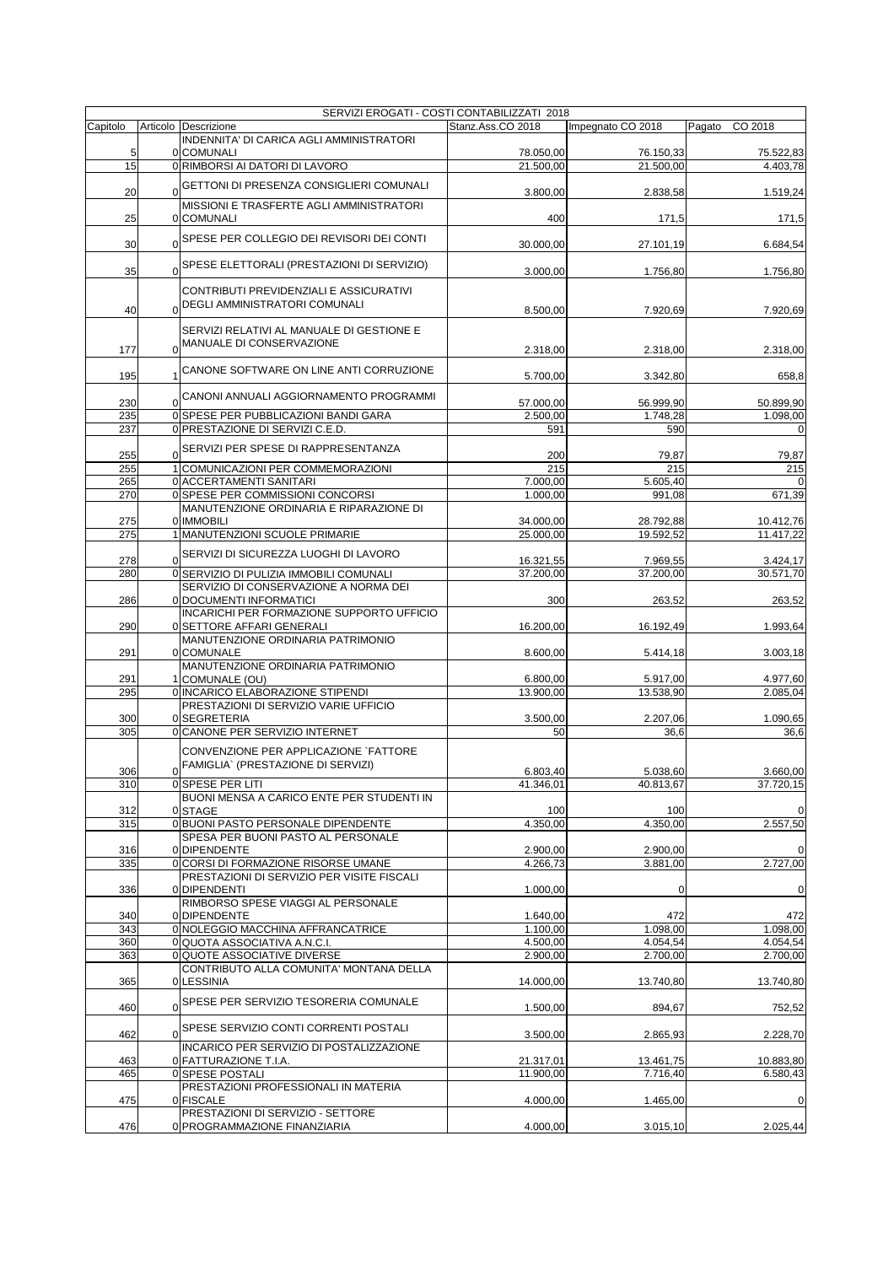|            | SERVIZI EROGATI - COSTI CONTABILIZZATI 2018          |                        |                        |                        |
|------------|------------------------------------------------------|------------------------|------------------------|------------------------|
| Capitolo   | Articolo Descrizione                                 | Stanz.Ass.CO 2018      | Impegnato CO 2018      | Pagato<br>CO 2018      |
|            | INDENNITA' DI CARICA AGLI AMMINISTRATORI             |                        |                        |                        |
| 5<br>15    | 0 COMUNALI<br>0 RIMBORSI AI DATORI DI LAVORO         | 78.050,00<br>21.500,00 | 76.150,33<br>21.500,00 | 75.522,83<br>4.403,78  |
|            |                                                      |                        |                        |                        |
| 20         | 0 GETTONI DI PRESENZA CONSIGLIERI COMUNALI           | 3.800,00               | 2.838,58               | 1.519,24               |
|            | MISSIONI E TRASFERTE AGLI AMMINISTRATORI             |                        |                        |                        |
| 25         | 0 COMUNALI                                           | 400                    | 171,5                  | 171,5                  |
|            | 0SPESE PER COLLEGIO DEI REVISORI DEI CONTI           |                        |                        |                        |
| 30         |                                                      | 30.000,00              | 27.101,19              | 6.684,54               |
| 35         | 0SPESE ELETTORALI (PRESTAZIONI DI SERVIZIO)          |                        |                        |                        |
|            |                                                      | 3.000,00               | 1.756,80               | 1.756,80               |
|            | CONTRIBUTI PREVIDENZIALI E ASSICURATIVI              |                        |                        |                        |
| 40         | 0 DEGLI AMMINISTRATORI COMUNALI                      | 8.500,00               | 7.920,69               | 7.920,69               |
|            | SERVIZI RELATIVI AL MANUALE DI GESTIONE E            |                        |                        |                        |
|            | 0 MANUALE DI CONSERVAZIONE                           |                        |                        |                        |
| 177        |                                                      | 2.318,00               | 2.318,00               | 2.318,00               |
|            | CANONE SOFTWARE ON LINE ANTI CORRUZIONE              |                        |                        |                        |
| 195        |                                                      | 5.700,00               | 3.342,80               | 658,8                  |
| 230        | 0 CANONI ANNUALI AGGIORNAMENTO PROGRAMMI             | 57.000,00              | 56.999,90              | 50.899,90              |
| 235        | 0 SPESE PER PUBBLICAZIONI BANDI GARA                 | 2.500,00               | 1.748,28               | 1.098,00               |
| 237        | 0 PRESTAZIONE DI SERVIZI C.E.D.                      | 591                    | 590                    | 0                      |
|            |                                                      |                        |                        |                        |
| 255        | 0SERVIZI PER SPESE DI RAPPRESENTANZA                 | 200                    | 79,87                  | 79,87                  |
| 255        | 1 COMUNICAZIONI PER COMMEMORAZIONI                   | 215                    | 215                    | 215                    |
| 265        | 0 ACCERTAMENTI SANITARI                              | 7.000,00               | 5.605,40               | 0                      |
| 270        | 0 SPESE PER COMMISSIONI CONCORSI                     | 1.000,00               | 991,08                 | 671,39                 |
|            | MANUTENZIONE ORDINARIA E RIPARAZIONE DI              |                        |                        |                        |
| 275<br>275 | 0 IMMOBILI                                           | 34.000,00<br>25.000,00 | 28.792,88<br>19.592.52 | 10.412,76<br>11.417,22 |
|            | 1 MANUTENZIONI SCUOLE PRIMARIE                       |                        |                        |                        |
| 278        | 0SERVIZI DI SICUREZZA LUOGHI DI LAVORO               | 16.321,55              | 7.969,55               | 3.424,17               |
| 280        | 0 SERVIZIO DI PULIZIA IMMOBILI COMUNALI              | 37.200,00              | 37.200,00              | 30.571,70              |
|            | SERVIZIO DI CONSERVAZIONE A NORMA DEI                |                        |                        |                        |
| 286        | 0 DOCUMENTI INFORMATICI                              | 300                    | 263,52                 | 263,52                 |
|            | INCARICHI PER FORMAZIONE SUPPORTO UFFICIO            |                        |                        |                        |
| 290        | 0 SETTORE AFFARI GENERALI                            | 16.200,00              | 16.192,49              | 1.993,64               |
|            | MANUTENZIONE ORDINARIA PATRIMONIO                    |                        |                        |                        |
| 291        | 0 COMUNALE                                           | 8.600,00               | 5.414,18               | 3.003,18               |
| 291        | MANUTENZIONE ORDINARIA PATRIMONIO<br>1 COMUNALE (OU) | 6.800,00               | 5.917,00               | 4.977,60               |
| 295        | 0 INCARICO ELABORAZIONE STIPENDI                     | 13.900,00              | 13.538,90              | 2.085,04               |
|            | PRESTAZIONI DI SERVIZIO VARIE UFFICIO                |                        |                        |                        |
| 300        | 0 SEGRETERIA                                         | 3.500,00               | 2.207,06               | 1.090,65               |
| 305        | 0 CANONE PER SERVIZIO INTERNET                       | 50                     | 36,6                   | 36,6                   |
|            | CONVENZIONE PER APPLICAZIONE `FATTORE                |                        |                        |                        |
|            | FAMIGLIA` (PRESTAZIONE DI SERVIZI)                   |                        |                        |                        |
| 306        |                                                      | 6.803,40               | 5.038,60               | 3.660,00               |
| 310        | 0 SPESE PER LITI                                     | 41.346,01              | 40.813,67              | 37.720,15              |
| 312        | BUONI MENSA A CARICO ENTE PER STUDENTI IN<br>0 STAGE | 100                    | 100                    | $\mathbf 0$            |
| 315        | 0 BUONI PASTO PERSONALE DIPENDENTE                   | 4.350,00               | 4.350,00               | 2.557,50               |
|            | SPESA PER BUONI PASTO AL PERSONALE                   |                        |                        |                        |
| 316        | 0 DIPENDENTE                                         | 2.900,00               | 2.900,00               | 0                      |
| 335        | 0 CORSI DI FORMAZIONE RISORSE UMANE                  | 4.266,73               | 3.881,00               | 2.727,00               |
|            | PRESTAZIONI DI SERVIZIO PER VISITE FISCALI           |                        |                        |                        |
| 336        | 0DIPENDENTI                                          | 1.000,00               | $\Omega$               | $\mathbf 0$            |
|            | RIMBORSO SPESE VIAGGI AL PERSONALE                   |                        |                        |                        |
| 340<br>343 | 0 DIPENDENTE<br>0 NOLEGGIO MACCHINA AFFRANCATRICE    | 1.640,00<br>1.100.00   | 472<br>1.098,00        | 472<br>1.098,00        |
| 360        | 0 QUOTA ASSOCIATIVA A.N.C.I.                         | 4.500,00               | 4.054,54               | 4.054,54               |
| 363        | <b>OQUOTE ASSOCIATIVE DIVERSE</b>                    | 2.900,00               | 2.700,00               | 2.700,00               |
|            | CONTRIBUTO ALLA COMUNITA' MONTANA DELLA              |                        |                        |                        |
| 365        | 0 LESSINIA                                           | 14.000,00              | 13.740,80              | 13.740,80              |
|            | 0SPESE PER SERVIZIO TESORERIA COMUNALE               |                        |                        |                        |
| 460        |                                                      | 1.500,00               | 894,67                 | 752,52                 |
|            | 0SPESE SERVIZIO CONTI CORRENTI POSTALI               |                        |                        |                        |
| 462        |                                                      | 3.500,00               | 2.865,93               | 2.228,70               |
|            | INCARICO PER SERVIZIO DI POSTALIZZAZIONE             |                        |                        |                        |
| 463<br>465 | 0 FATTURAZIONE T.I.A.<br>0 SPESE POSTALI             | 21.317,01<br>11.900,00 | 13.461,75<br>7.716,40  | 10.883,80<br>6.580,43  |
|            | PRESTAZIONI PROFESSIONALI IN MATERIA                 |                        |                        |                        |
| 475        | 0 FISCALE                                            | 4.000,00               | 1.465,00               | 0                      |
|            | PRESTAZIONI DI SERVIZIO - SETTORE                    |                        |                        |                        |
| 476        | 0 PROGRAMMAZIONE FINANZIARIA                         | 4.000,00               | 3.015,10               | 2.025,44               |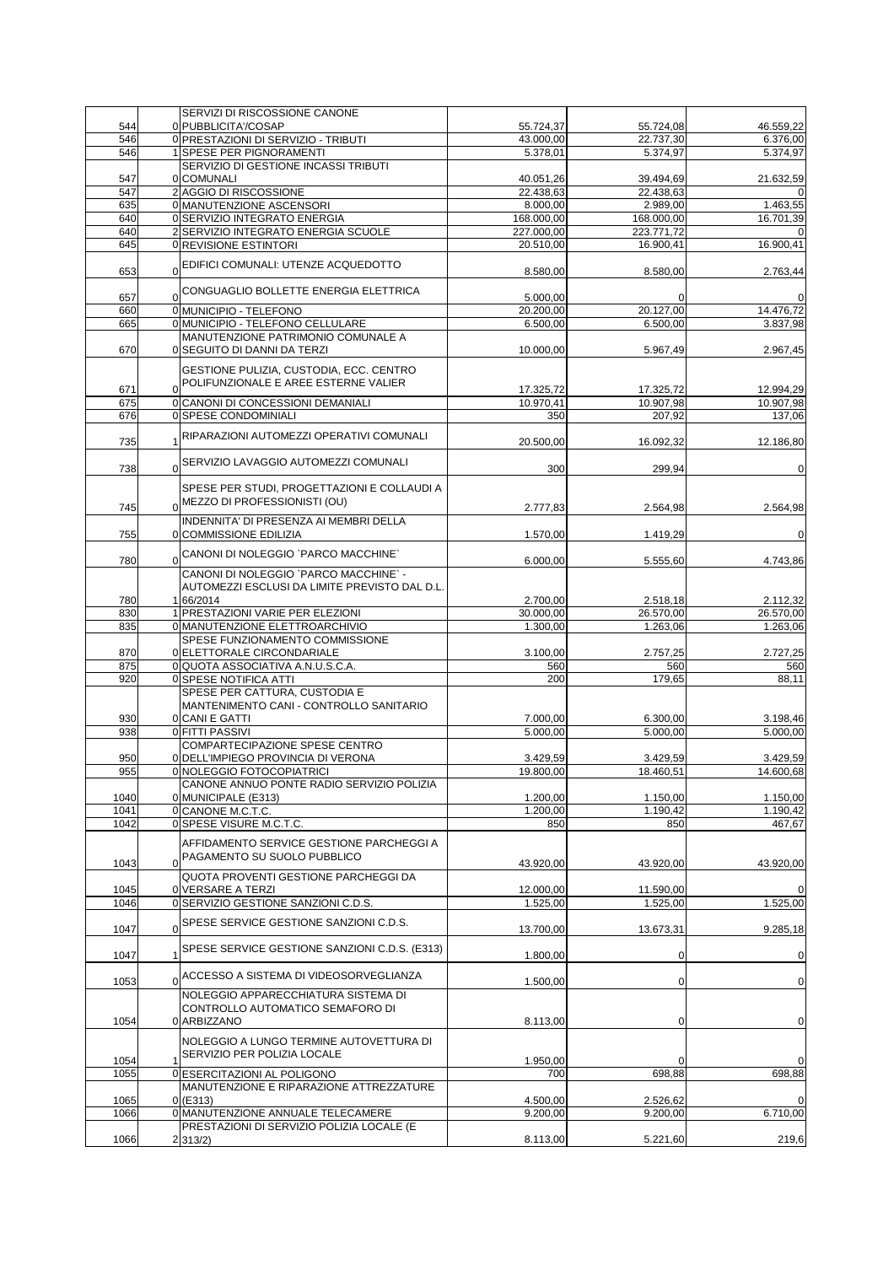|            | SERVIZI DI RISCOSSIONE CANONE                                                 |                       |                       |                       |
|------------|-------------------------------------------------------------------------------|-----------------------|-----------------------|-----------------------|
| 544<br>546 | 0 PUBBLICITA'/COSAP                                                           | 55.724,37             | 55.724,08             | 46.559,22             |
| 546        | 0 PRESTAZIONI DI SERVIZIO - TRIBUTI<br>1 SPESE PER PIGNORAMENTI               | 43.000,00<br>5.378,01 | 22.737,30<br>5.374,97 | 6.376,00<br>5.374,97  |
|            | SERVIZIO DI GESTIONE INCASSI TRIBUTI                                          |                       |                       |                       |
| 547        | 0 COMUNALI                                                                    | 40.051,26             | 39.494,69             | 21.632,59             |
| 547        | 2 AGGIO DI RISCOSSIONE                                                        | 22.438,63             | 22.438,63             |                       |
| 635        | 0 MANUTENZIONE ASCENSORI                                                      | 8.000,00              | 2.989,00              | 1.463,55              |
| 640        | 0 SERVIZIO INTEGRATO ENERGIA                                                  | 168.000,00            | 168.000,00            | 16.701,39             |
| 640        | 2 SERVIZIO INTEGRATO ENERGIA SCUOLE                                           | 227.000,00            | 223.771,72            | 0                     |
| 645        | 0 REVISIONE ESTINTORI                                                         | 20.510,00             | 16.900,41             | 16.900,41             |
|            | EDIFICI COMUNALI: UTENZE ACQUEDOTTO                                           |                       |                       |                       |
| 653        | $\Omega$                                                                      | 8.580,00              | 8.580,00              | 2.763,44              |
|            | 0CONGUAGLIO BOLLETTE ENERGIA ELETTRICA                                        |                       |                       |                       |
| 657        |                                                                               | 5.000,00              |                       | 0                     |
| 660        | 0 MUNICIPIO - TELEFONO                                                        | 20.200,00             | 20.127,00             | 14.476,72             |
| 665        | 0 MUNICIPIO - TELEFONO CELLULARE<br>MANUTENZIONE PATRIMONIO COMUNALE A        | 6.500,00              | 6.500,00              | 3.837,98              |
| 670        | 0 SEGUITO DI DANNI DA TERZI                                                   | 10.000,00             | 5.967,49              | 2.967,45              |
|            |                                                                               |                       |                       |                       |
|            | GESTIONE PULIZIA, CUSTODIA, ECC. CENTRO                                       |                       |                       |                       |
| 671        | POLIFUNZIONALE E AREE ESTERNE VALIER<br>$\Omega$                              | 17.325,72             | 17.325,72             | 12.994,29             |
| 675        | 0 CANONI DI CONCESSIONI DEMANIALI                                             | 10.970,41             | 10.907,98             | 10.907,98             |
| 676        | 0 SPESE CONDOMINIALI                                                          | 350                   | 207,92                | 137,06                |
|            |                                                                               |                       |                       |                       |
| 735        | RIPARAZIONI AUTOMEZZI OPERATIVI COMUNALI                                      | 20.500,00             | 16.092,32             | 12.186,80             |
|            |                                                                               |                       |                       |                       |
| 738        | SERVIZIO LAVAGGIO AUTOMEZZI COMUNALI<br>$\Omega$                              | 300                   | 299,94                | 0                     |
|            |                                                                               |                       |                       |                       |
|            | SPESE PER STUDI, PROGETTAZIONI E COLLAUDI A<br>0 MEZZO DI PROFESSIONISTI (OU) |                       |                       |                       |
| 745        |                                                                               | 2.777.83              | 2.564,98              | 2.564,98              |
|            | INDENNITA' DI PRESENZA AI MEMBRI DELLA                                        |                       |                       |                       |
| 755        | 0 COMMISSIONE EDILIZIA                                                        | 1.570,00              | 1.419,29              | $\mathbf 0$           |
|            | 0CANONI DI NOLEGGIO `PARCO MACCHINE`                                          |                       |                       |                       |
| 780        |                                                                               | 6.000,00              | 5.555,60              | 4.743,86              |
|            | CANONI DI NOLEGGIO `PARCO MACCHINE` -                                         |                       |                       |                       |
|            | AUTOMEZZI ESCLUSI DA LIMITE PREVISTO DAL D.L.                                 |                       |                       |                       |
| 780        | 1 66/2014                                                                     | 2.700,00              | 2.518,18              | 2.112,32              |
| 830<br>835 | 1 PRESTAZIONI VARIE PER ELEZIONI<br>0 MANUTENZIONE ELETTROARCHIVIO            | 30.000,00<br>1.300,00 | 26.570,00<br>1.263,06 | 26.570,00<br>1.263,06 |
|            | SPESE FUNZIONAMENTO COMMISSIONE                                               |                       |                       |                       |
| 870        | 0 ELETTORALE CIRCONDARIALE                                                    | 3.100,00              | 2.757,25              | 2.727,25              |
| 875        | 0 QUOTA ASSOCIATIVA A.N.U.S.C.A.                                              | 560                   | 560                   | 560                   |
| 920        | 0 SPESE NOTIFICA ATTI                                                         | 200                   | 179,65                | 88,11                 |
|            | SPESE PER CATTURA, CUSTODIA E                                                 |                       |                       |                       |
|            | MANTENIMENTO CANI - CONTROLLO SANITARIO                                       |                       |                       |                       |
| 930        | 0 CANI E GATTI                                                                | 7.000,00              | 6.300,00              | 3.198,46              |
| 938        | 0 FITTI PASSIVI                                                               | 5.000,00              | 5.000,00              | 5.000,00              |
|            | <b>COMPARTECIPAZIONE SPESE CENTRO</b>                                         |                       |                       |                       |
| 950        | 0 DELL'IMPIEGO PROVINCIA DI VERONA                                            | 3.429,59              | 3.429,59              | 3.429,59              |
| 955        | 0 NOLEGGIO FOTOCOPIATRICI                                                     | 19.800.00             | 18.460.51             | 14.600,68             |
|            | CANONE ANNUO PONTE RADIO SERVIZIO POLIZIA                                     |                       |                       |                       |
| 1040       | 0 MUNICIPALE (E313)                                                           | 1.200,00              | 1.150,00              | 1.150,00              |
| 1041       | 0 CANONE M.C.T.C.                                                             | 1.200,00              | 1.190,42              | 1.190,42              |
| 1042       | 0 SPESE VISURE M.C.T.C.                                                       | 850                   | 850                   | 467.67                |
|            | AFFIDAMENTO SERVICE GESTIONE PARCHEGGI A                                      |                       |                       |                       |
|            | PAGAMENTO SU SUOLO PUBBLICO<br>$\Omega$                                       |                       |                       |                       |
| 1043       |                                                                               | 43.920,00             | 43.920,00             | 43.920,00             |
| 1045       | QUOTA PROVENTI GESTIONE PARCHEGGI DA                                          | 12.000,00             |                       | 0                     |
| 1046       | 0 VERSARE A TERZI<br>0 SERVIZIO GESTIONE SANZIONI C.D.S.                      | 1.525,00              | 11.590,00<br>1.525,00 | 1.525,00              |
|            |                                                                               |                       |                       |                       |
| 1047       | SPESE SERVICE GESTIONE SANZIONI C.D.S.<br>$\Omega$                            | 13.700,00             | 13.673,31             | 9.285,18              |
|            |                                                                               |                       |                       |                       |
| 1047       | SPESE SERVICE GESTIONE SANZIONI C.D.S. (E313)<br>1                            | 1.800,00              | 0                     | $\mathbf 0$           |
|            |                                                                               |                       |                       |                       |
| 1053       | ACCESSO A SISTEMA DI VIDEOSORVEGLIANZA<br>$\Omega$                            | 1.500,00              | 0                     | $\mathbf 0$           |
|            | NOLEGGIO APPARECCHIATURA SISTEMA DI                                           |                       |                       |                       |
|            | CONTROLLO AUTOMATICO SEMAFORO DI                                              |                       |                       |                       |
| 1054       | 0 ARBIZZANO                                                                   | 8.113,00              | 0                     | $\mathbf 0$           |
|            | NOLEGGIO A LUNGO TERMINE AUTOVETTURA DI                                       |                       |                       |                       |
|            | SERVIZIO PER POLIZIA LOCALE                                                   |                       |                       |                       |
| 1054       | $\mathbf{1}$                                                                  | 1.950,00              | $\mathbf 0$           | 0                     |
| 1055       | 0 ESERCITAZIONI AL POLIGONO                                                   | 700                   | 698,88                | 698,88                |
|            | MANUTENZIONE E RIPARAZIONE ATTREZZATURE                                       |                       |                       |                       |
|            |                                                                               |                       |                       |                       |
| 1065       | $0($ E313)                                                                    | 4.500,00              | 2.526,62              | 0                     |
| 1066       | 0 MANUTENZIONE ANNUALE TELECAMERE                                             | 9.200,00              | 9.200,00              |                       |
| 1066       | PRESTAZIONI DI SERVIZIO POLIZIA LOCALE (E<br>$2 313/2\rangle$                 | 8.113,00              | 5.221,60              | 6.710,00<br>219,6     |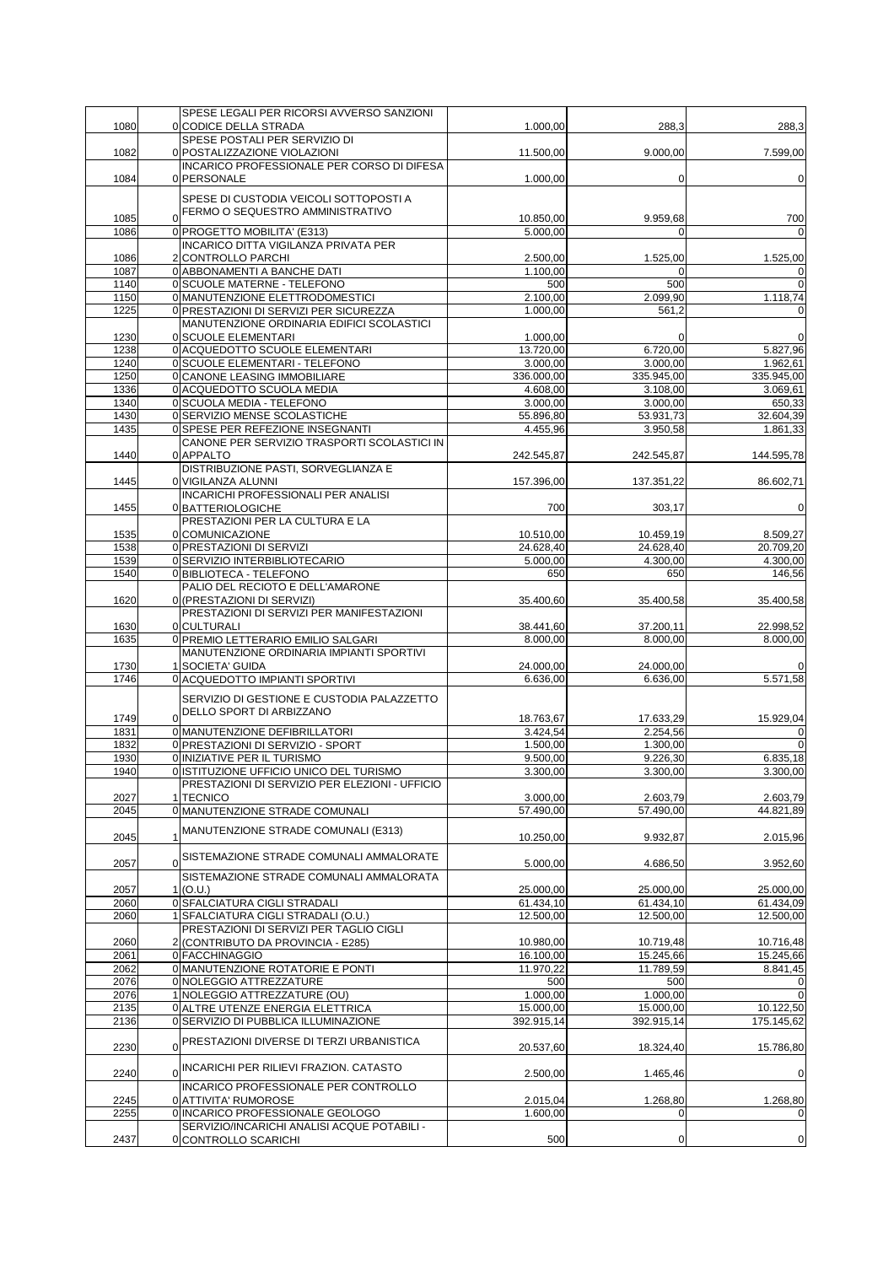|              | SPESE LEGALI PER RICORSI AVVERSO SANZIONI                                      |                        |                        |                                              |
|--------------|--------------------------------------------------------------------------------|------------------------|------------------------|----------------------------------------------|
| 1080         | 0 CODICE DELLA STRADA<br>SPESE POSTALI PER SERVIZIO DI                         | 1.000,00               | 288,3                  | 288,3                                        |
| 1082         | 0 POSTALIZZAZIONE VIOLAZIONI                                                   | 11.500,00              | 9.000,00               | 7.599,00                                     |
|              | INCARICO PROFESSIONALE PER CORSO DI DIFESA                                     |                        |                        |                                              |
| 1084         | 0 PERSONALE                                                                    | 1.000,00               | $\mathbf 0$            | $\overline{0}$                               |
|              |                                                                                |                        |                        |                                              |
|              | SPESE DI CUSTODIA VEICOLI SOTTOPOSTI A                                         |                        |                        |                                              |
| 1085         | 0 FERMO O SEQUESTRO AMMINISTRATIVO                                             | 10.850,00              | 9.959,68               | 700                                          |
| 1086         | 0 PROGETTO MOBILITA' (E313)                                                    | 5.000,00               | $\Omega$               | $\Omega$                                     |
|              | INCARICO DITTA VIGILANZA PRIVATA PER                                           |                        |                        |                                              |
| 1086         | 2 CONTROLLO PARCHI                                                             | 2.500,00               | 1.525,00               | 1.525,00                                     |
| 1087<br>1140 | 0 ABBONAMENTI A BANCHE DATI<br>0 SCUOLE MATERNE - TELEFONO                     | 1.100,00<br>500        | $\Omega$<br>500        | 0<br>$\mathbf 0$                             |
| 1150         | 0 MANUTENZIONE ELETTRODOMESTICI                                                | 2.100,00               | 2.099,90               | 1.118,74                                     |
| 1225         | 0 PRESTAZIONI DI SERVIZI PER SICUREZZA                                         | 1.000,00               | 561,2                  | $\Omega$                                     |
|              | MANUTENZIONE ORDINARIA EDIFICI SCOLASTICI                                      |                        |                        |                                              |
| 1230         | 0 SCUOLE ELEMENTARI                                                            | 1.000,00               | 0                      | 0                                            |
| 1238         | 0 ACQUEDOTTO SCUOLE ELEMENTARI                                                 | 13.720,00              | 6.720,00               | 5.827,96                                     |
| 1240         | 0 SCUOLE ELEMENTARI - TELEFONO                                                 | 3.000,00               | 3.000,00               | 1.962,61                                     |
| 1250         | 0 CANONE LEASING IMMOBILIARE                                                   | 336.000,00             | 335.945,00             | 335.945,00                                   |
| 1336<br>1340 | 0 ACQUEDOTTO SCUOLA MEDIA<br>0 SCUOLA MEDIA - TELEFONO                         | 4.608,00<br>3.000,00   | 3.108,00<br>3.000,00   | 3.069,61<br>650,33                           |
| 1430         | 0 SERVIZIO MENSE SCOLASTICHE                                                   | 55.896,80              | 53.931,73              | 32.604,39                                    |
| 1435         | 0 SPESE PER REFEZIONE INSEGNANTI                                               | 4.455.96               | 3.950,58               | 1.861,33                                     |
|              | CANONE PER SERVIZIO TRASPORTI SCOLASTICI IN                                    |                        |                        |                                              |
| 1440         | 0 APPALTO                                                                      | 242.545,87             | 242.545,87             | 144.595,78                                   |
|              | DISTRIBUZIONE PASTI, SORVEGLIANZA E                                            |                        |                        |                                              |
| 1445         | 0 VIGILANZA ALUNNI                                                             | 157.396,00             | 137.351,22             | 86.602,71                                    |
|              | <b>INCARICHI PROFESSIONALI PER ANALISI</b>                                     |                        |                        |                                              |
| 1455         | 0 BATTERIOLOGICHE                                                              | 700                    | 303,17                 | $\overline{0}$                               |
|              | PRESTAZIONI PER LA CULTURA E LA                                                |                        |                        |                                              |
| 1535<br>1538 | 0 COMUNICAZIONE<br>0 PRESTAZIONI DI SERVIZI                                    | 10.510,00<br>24.628,40 | 10.459,19<br>24.628,40 | 8.509,27<br>20.709,20                        |
| 1539         | 0 SERVIZIO INTERBIBLIOTECARIO                                                  | 5.000,00               | 4.300,00               | 4.300,00                                     |
| 1540         | 0 BIBLIOTECA - TELEFONO                                                        | 650                    | 650                    | 146,56                                       |
|              | PALIO DEL RECIOTO E DELL'AMARONE                                               |                        |                        |                                              |
| 1620         | 0 (PRESTAZIONI DI SERVIZI)                                                     | 35.400,60              | 35.400,58              | 35.400,58                                    |
|              | PRESTAZIONI DI SERVIZI PER MANIFESTAZIONI                                      |                        |                        |                                              |
| 1630         | 0 CULTURALI                                                                    | 38.441,60              | 37.200,11              | 22.998,52                                    |
| 1635         | 0 PREMIO LETTERARIO EMILIO SALGARI                                             | 8.000,00               | 8.000,00               | 8.000,00                                     |
|              | MANUTENZIONE ORDINARIA IMPIANTI SPORTIVI                                       |                        |                        |                                              |
| 1730<br>1746 | 1 SOCIETA' GUIDA<br>0 ACQUEDOTTO IMPIANTI SPORTIVI                             | 24.000,00<br>6.636,00  | 24.000,00<br>6.636,00  | 0<br>5.571,58                                |
|              |                                                                                |                        |                        |                                              |
|              | SERVIZIO DI GESTIONE E CUSTODIA PALAZZETTO                                     |                        |                        |                                              |
| 1749         | 0 DELLO SPORT DI ARBIZZANO                                                     | 18.763,67              | 17.633,29              | 15.929,04                                    |
| 1831         | 0 MANUTENZIONE DEFIBRILLATORI                                                  | 3.424.54               | 2.254,56               | 0                                            |
| 1832         | 0 PRESTAZIONI DI SERVIZIO - SPORT                                              | 1.500,00               | 1.300,00               | $\overline{0}$                               |
| 1930         | 0 INIZIATIVE PER IL TURISMO                                                    | 9.500,00               | 9.226,30               | 6.835,18                                     |
| 1940         | 0 ISTITUZIONE UFFICIO UNICO DEL TURISMO                                        | 3.300,00               | 3.300,00               | 3.300,00                                     |
| 2027         | PRESTAZIONI DI SERVIZIO PER ELEZIONI - UFFICIO<br>1 TECNICO                    | 3.000,00               | 2.603,79               |                                              |
| 2045         | 0 MANUTENZIONE STRADE COMUNALI                                                 | 57.490,00              | 57.490,00              | 2.603,79<br>44.821.89                        |
|              |                                                                                |                        |                        |                                              |
| 2045         | 1 MANUTENZIONE STRADE COMUNALI (E313)                                          | 10.250,00              | 9.932,87               | 2.015,96                                     |
|              | 0SISTEMAZIONE STRADE COMUNALI AMMALORATE                                       |                        |                        |                                              |
| 2057         |                                                                                | 5.000,00               | 4.686,50               | 3.952,60                                     |
|              | SISTEMAZIONE STRADE COMUNALI AMMALORATA                                        |                        |                        |                                              |
| 2057         | 1 (O.U.)                                                                       | 25.000,00              | 25.000,00              | 25.000,00                                    |
| 2060         | 0 SFALCIATURA CIGLI STRADALI                                                   | 61.434,10              | 61.434,10              | 61.434,09                                    |
| 2060         | 1 SFALCIATURA CIGLI STRADALI (O.U.)<br>PRESTAZIONI DI SERVIZI PER TAGLIO CIGLI | 12.500,00              | 12.500,00              | 12.500,00                                    |
| 2060         | 2 (CONTRIBUTO DA PROVINCIA - E285)                                             | 10.980,00              | 10.719,48              | 10.716,48                                    |
| 2061         | 0 FACCHINAGGIO                                                                 | 16.100,00              | 15.245,66              | 15.245,66                                    |
| 2062         | 0 MANUTENZIONE ROTATORIE E PONTI                                               | 11.970,22              | 11.789,59              | 8.841,45                                     |
| 2076         | 0 NOLEGGIO ATTREZZATURE                                                        | 500                    | 500                    | 0                                            |
| 2076         | 1 NOLEGGIO ATTREZZATURE (OU)                                                   | 1.000,00               | 1.000,00               | $\mathbf 0$                                  |
| 2135         | 0 ALTRE UTENZE ENERGIA ELETTRICA                                               | 15.000,00              | 15.000,00              | 10.122,50                                    |
| 2136         | 0 SERVIZIO DI PUBBLICA ILLUMINAZIONE                                           | 392.915,14             | 392.915,14             | 175.145,62                                   |
|              | 0 PRESTAZIONI DIVERSE DI TERZI URBANISTICA                                     |                        |                        |                                              |
| 2230         |                                                                                | 20.537,60              | 18.324,40              | 15.786,80                                    |
|              |                                                                                |                        |                        |                                              |
|              | 0 INCARICHI PER RILIEVI FRAZION. CATASTO                                       |                        |                        |                                              |
| 2240         | INCARICO PROFESSIONALE PER CONTROLLO                                           | 2.500,00               | 1.465,46               |                                              |
| 2245         | 0 ATTIVITA' RUMOROSE                                                           | 2.015,04               | 1.268,80               | 1.268,80                                     |
| 2255         | 0 INCARICO PROFESSIONALE GEOLOGO                                               | 1.600,00               | $\Omega$               |                                              |
| 2437         | SERVIZIO/INCARICHI ANALISI ACQUE POTABILI -<br>0 CONTROLLO SCARICHI            | 500                    | 0                      | $\mathbf 0$<br>$\mathbf 0$<br>$\overline{0}$ |